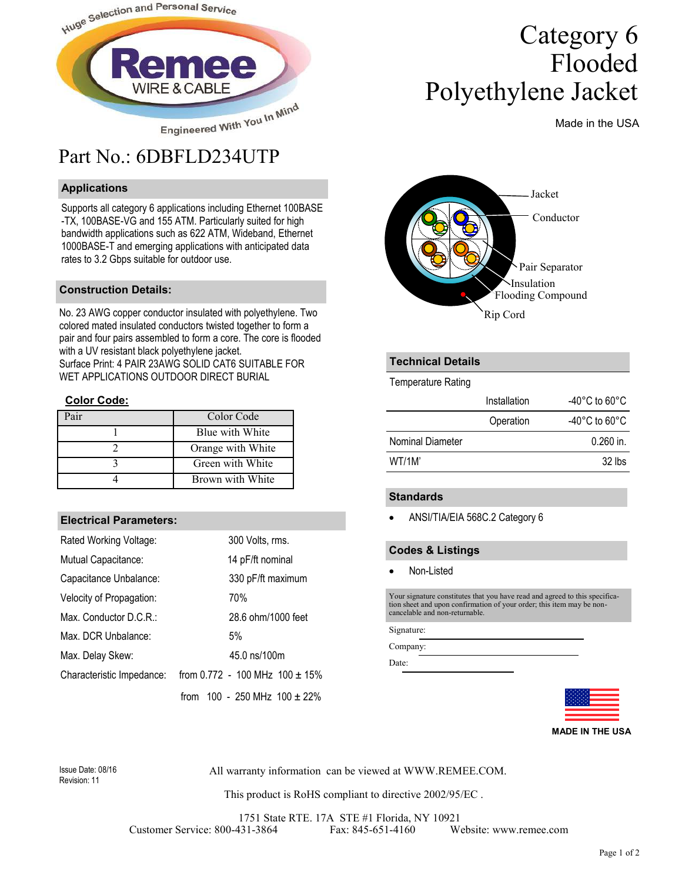

## Part No.: 6DBFLD234UTP

#### **Applications**

Supports all category 6 applications including Ethernet 100BASE -TX, 100BASE-VG and 155 ATM. Particularly suited for high bandwidth applications such as 622 ATM, Wideband, Ethernet 1000BASE-T and emerging applications with anticipated data rates to 3.2 Gbps suitable for outdoor use.

#### **Construction Details:**

No. 23 AWG copper conductor insulated with polyethylene. Two colored mated insulated conductors twisted together to form a pair and four pairs assembled to form a core. The core is flooded with a UV resistant black polyethylene jacket. Surface Print: 4 PAIR 23AWG SOLID CAT6 SUITABLE FOR WET APPLICATIONS OUTDOOR DIRECT BURIAL

#### **Color Code:**

| air | Color Code        |
|-----|-------------------|
|     | Blue with White   |
|     | Orange with White |
|     | Green with White  |
|     | Brown with White  |

#### **Electrical Parameters:**

| Rated Working Voltage:    | 300 Volts, rms.                      |
|---------------------------|--------------------------------------|
| Mutual Capacitance:       | 14 pF/ft nominal                     |
| Capacitance Unbalance:    | 330 pF/ft maximum                    |
| Velocity of Propagation:  | 70%                                  |
| Max. Conductor D.C.R.:    | 28.6 ohm/1000 feet                   |
| Max. DCR Unbalance:       | 5%                                   |
| Max. Delay Skew:          | 45.0 ns/100m                         |
| Characteristic Impedance: | from 0.772 - 100 MHz $100 \pm 15\%$  |
|                           | 100 - 250 MHz $100 \pm 22\%$<br>from |

# Category 6 Flooded Polyethylene Jacket

Made in the USA



#### **Technical Details**

Temperature Rating

|                  | Installation | -40 $^{\circ}$ C to 60 $^{\circ}$ C |
|------------------|--------------|-------------------------------------|
|                  | Operation    | -40 $^{\circ}$ C to 60 $^{\circ}$ C |
| Nominal Diameter |              | $0.260$ in.                         |
| WT/1M'           |              | $32$ lbs                            |

#### **Standards**

• ANSI/TIA/EIA 568C.2 Category 6

#### **Codes & Listings**

Non-Listed

Your signature constitutes that you have read and agreed to this specification sheet and upon confirmation of your order; this item may be non-cancelable and non-returnable.

Signature:

Company:

Date:



**MADE IN THE USA**

Revision: 11

Issue Date: 08/16 All warranty information can be viewed at WWW.REMEE.COM.

This product is RoHS compliant to directive 2002/95/EC .

1751 State RTE. 17A STE #1 Florida, NY 10921 Customer Service: 800-431-3864 Fax: 845-651-4160 Website: www.remee.com